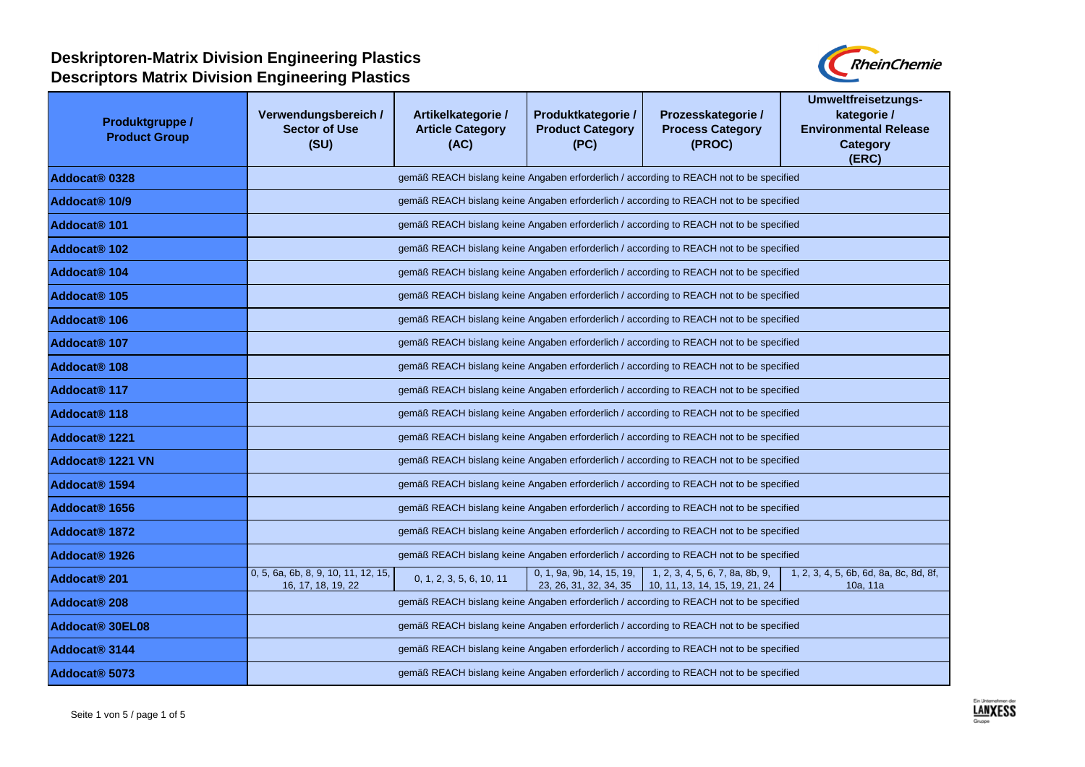

| Produktgruppe /<br><b>Product Group</b> | Verwendungsbereich /<br><b>Sector of Use</b><br>(SU)                                    | Artikelkategorie /<br><b>Article Category</b><br>(AC)                                   | Produktkategorie /<br><b>Product Category</b><br>(PC) | Prozesskategorie /<br><b>Process Category</b><br>(PROC)                                 | Umweltfreisetzungs-<br>kategorie /<br><b>Environmental Release</b><br><b>Category</b><br>(ERC) |  |  |
|-----------------------------------------|-----------------------------------------------------------------------------------------|-----------------------------------------------------------------------------------------|-------------------------------------------------------|-----------------------------------------------------------------------------------------|------------------------------------------------------------------------------------------------|--|--|
| Addocat <sup>®</sup> 0328               |                                                                                         | gemäß REACH bislang keine Angaben erforderlich / according to REACH not to be specified |                                                       |                                                                                         |                                                                                                |  |  |
| Addocat <sup>®</sup> 10/9               |                                                                                         |                                                                                         |                                                       | gemäß REACH bislang keine Angaben erforderlich / according to REACH not to be specified |                                                                                                |  |  |
| Addocat <sup>®</sup> 101                |                                                                                         |                                                                                         |                                                       | gemäß REACH bislang keine Angaben erforderlich / according to REACH not to be specified |                                                                                                |  |  |
| Addocat <sup>®</sup> 102                |                                                                                         | gemäß REACH bislang keine Angaben erforderlich / according to REACH not to be specified |                                                       |                                                                                         |                                                                                                |  |  |
| Addocat <sup>®</sup> 104                |                                                                                         | gemäß REACH bislang keine Angaben erforderlich / according to REACH not to be specified |                                                       |                                                                                         |                                                                                                |  |  |
| Addocat <sup>®</sup> 105                |                                                                                         | gemäß REACH bislang keine Angaben erforderlich / according to REACH not to be specified |                                                       |                                                                                         |                                                                                                |  |  |
| Addocat <sup>®</sup> 106                |                                                                                         | gemäß REACH bislang keine Angaben erforderlich / according to REACH not to be specified |                                                       |                                                                                         |                                                                                                |  |  |
| Addocat <sup>®</sup> 107                |                                                                                         | gemäß REACH bislang keine Angaben erforderlich / according to REACH not to be specified |                                                       |                                                                                         |                                                                                                |  |  |
| Addocat <sup>®</sup> 108                |                                                                                         | gemäß REACH bislang keine Angaben erforderlich / according to REACH not to be specified |                                                       |                                                                                         |                                                                                                |  |  |
| Addocat <sup>®</sup> 117                |                                                                                         | gemäß REACH bislang keine Angaben erforderlich / according to REACH not to be specified |                                                       |                                                                                         |                                                                                                |  |  |
| Addocat <sup>®</sup> 118                | gemäß REACH bislang keine Angaben erforderlich / according to REACH not to be specified |                                                                                         |                                                       |                                                                                         |                                                                                                |  |  |
| Addocat <sup>®</sup> 1221               | gemäß REACH bislang keine Angaben erforderlich / according to REACH not to be specified |                                                                                         |                                                       |                                                                                         |                                                                                                |  |  |
| Addocat <sup>®</sup> 1221 VN            | gemäß REACH bislang keine Angaben erforderlich / according to REACH not to be specified |                                                                                         |                                                       |                                                                                         |                                                                                                |  |  |
| Addocat <sup>®</sup> 1594               | gemäß REACH bislang keine Angaben erforderlich / according to REACH not to be specified |                                                                                         |                                                       |                                                                                         |                                                                                                |  |  |
| Addocat <sup>®</sup> 1656               | gemäß REACH bislang keine Angaben erforderlich / according to REACH not to be specified |                                                                                         |                                                       |                                                                                         |                                                                                                |  |  |
| Addocat <sup>®</sup> 1872               | gemäß REACH bislang keine Angaben erforderlich / according to REACH not to be specified |                                                                                         |                                                       |                                                                                         |                                                                                                |  |  |
| Addocat <sup>®</sup> 1926               | gemäß REACH bislang keine Angaben erforderlich / according to REACH not to be specified |                                                                                         |                                                       |                                                                                         |                                                                                                |  |  |
| Addocat <sup>®</sup> 201                | 0, 5, 6a, 6b, 8, 9, 10, 11, 12, 15,<br>16, 17, 18, 19, 22                               | 0, 1, 2, 3, 5, 6, 10, 11                                                                | 0, 1, 9a, 9b, 14, 15, 19,<br>23, 26, 31, 32, 34, 35   | 1, 2, 3, 4, 5, 6, 7, 8a, 8b, 9,<br>10, 11, 13, 14, 15, 19, 21, 24                       | 1, 2, 3, 4, 5, 6b, 6d, 8a, 8c, 8d, 8f,<br>10a, 11a                                             |  |  |
| Addocat <sup>®</sup> 208                |                                                                                         |                                                                                         |                                                       | gemäß REACH bislang keine Angaben erforderlich / according to REACH not to be specified |                                                                                                |  |  |
| Addocat <sup>®</sup> 30EL08             |                                                                                         |                                                                                         |                                                       | gemäß REACH bislang keine Angaben erforderlich / according to REACH not to be specified |                                                                                                |  |  |
| Addocat <sup>®</sup> 3144               |                                                                                         |                                                                                         |                                                       | gemäß REACH bislang keine Angaben erforderlich / according to REACH not to be specified |                                                                                                |  |  |
| Addocat <sup>®</sup> 5073               | gemäß REACH bislang keine Angaben erforderlich / according to REACH not to be specified |                                                                                         |                                                       |                                                                                         |                                                                                                |  |  |

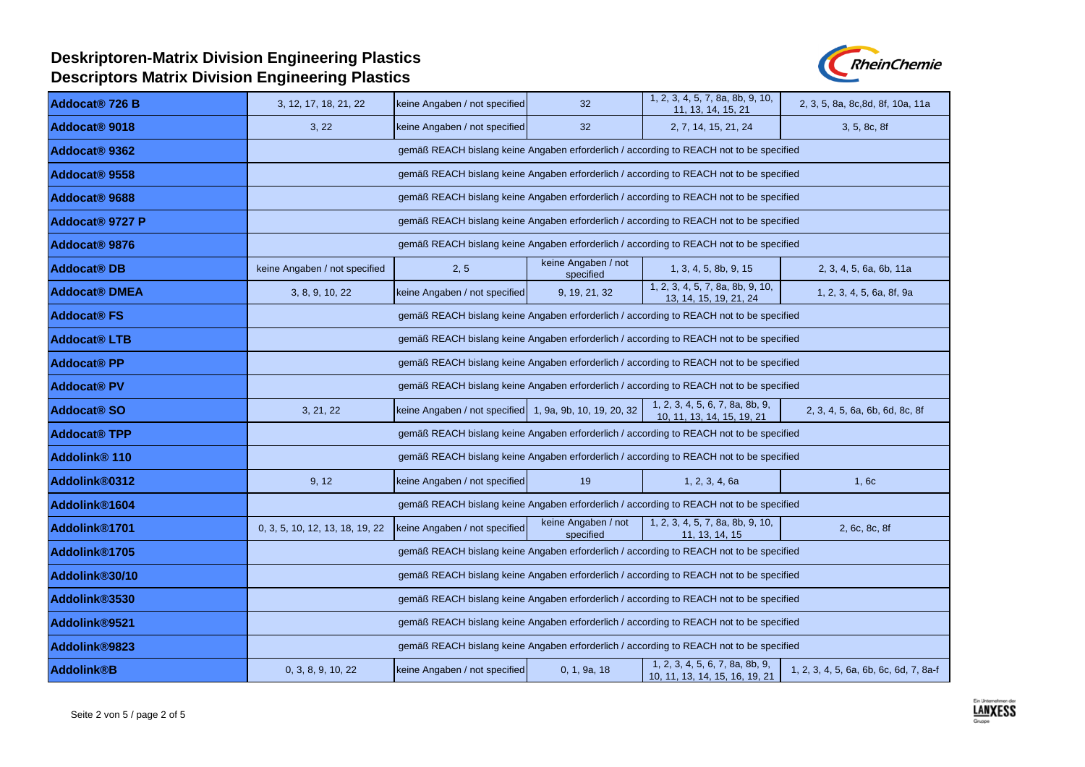

| Addocat <sup>®</sup> 726 B  | 3, 12, 17, 18, 21, 22                                                                   | keine Angaben / not specified                           | 32                               | 1, 2, 3, 4, 5, 7, 8a, 8b, 9, 10,<br>11, 13, 14, 15, 21            | 2, 3, 5, 8a, 8c, 8d, 8f, 10a, 11a      |
|-----------------------------|-----------------------------------------------------------------------------------------|---------------------------------------------------------|----------------------------------|-------------------------------------------------------------------|----------------------------------------|
| Addocat <sup>®</sup> 9018   | 3, 22                                                                                   | keine Angaben / not specified                           | 32 <sup>2</sup>                  | 2, 7, 14, 15, 21, 24                                              | 3, 5, 8c, 8f                           |
| Addocat <sup>®</sup> 9362   | gemäß REACH bislang keine Angaben erforderlich / according to REACH not to be specified |                                                         |                                  |                                                                   |                                        |
| Addocat <sup>®</sup> 9558   | gemäß REACH bislang keine Angaben erforderlich / according to REACH not to be specified |                                                         |                                  |                                                                   |                                        |
| Addocat <sup>®</sup> 9688   | gemäß REACH bislang keine Angaben erforderlich / according to REACH not to be specified |                                                         |                                  |                                                                   |                                        |
| Addocat <sup>®</sup> 9727 P | gemäß REACH bislang keine Angaben erforderlich / according to REACH not to be specified |                                                         |                                  |                                                                   |                                        |
| Addocat <sup>®</sup> 9876   | gemäß REACH bislang keine Angaben erforderlich / according to REACH not to be specified |                                                         |                                  |                                                                   |                                        |
| <b>Addocat® DB</b>          | keine Angaben / not specified                                                           | 2, 5                                                    | keine Angaben / not<br>specified | 1, 3, 4, 5, 8b, 9, 15                                             | 2, 3, 4, 5, 6a, 6b, 11a                |
| <b>Addocat® DMEA</b>        | 3, 8, 9, 10, 22                                                                         | keine Angaben / not specified                           | 9, 19, 21, 32                    | 1, 2, 3, 4, 5, 7, 8a, 8b, 9, 10,<br>13, 14, 15, 19, 21, 24        | 1, 2, 3, 4, 5, 6a, 8f, 9a              |
| <b>Addocat® FS</b>          | gemäß REACH bislang keine Angaben erforderlich / according to REACH not to be specified |                                                         |                                  |                                                                   |                                        |
| <b>Addocat® LTB</b>         | gemäß REACH bislang keine Angaben erforderlich / according to REACH not to be specified |                                                         |                                  |                                                                   |                                        |
| <b>Addocat® PP</b>          | gemäß REACH bislang keine Angaben erforderlich / according to REACH not to be specified |                                                         |                                  |                                                                   |                                        |
| <b>Addocat® PV</b>          | gemäß REACH bislang keine Angaben erforderlich / according to REACH not to be specified |                                                         |                                  |                                                                   |                                        |
| <b>Addocat® SO</b>          | 3, 21, 22                                                                               | keine Angaben / not specified 1, 9a, 9b, 10, 19, 20, 32 |                                  | 1, 2, 3, 4, 5, 6, 7, 8a, 8b, 9,<br>10, 11, 13, 14, 15, 19, 21     | 2, 3, 4, 5, 6a, 6b, 6d, 8c, 8f         |
| <b>Addocat® TPP</b>         | gemäß REACH bislang keine Angaben erforderlich / according to REACH not to be specified |                                                         |                                  |                                                                   |                                        |
| Addolink <sup>®</sup> 110   | gemäß REACH bislang keine Angaben erforderlich / according to REACH not to be specified |                                                         |                                  |                                                                   |                                        |
| Addolink®0312               | 9, 12                                                                                   | keine Angaben / not specified                           | 19                               | 1, 2, 3, 4, 6a                                                    | 1,6c                                   |
| Addolink®1604               | gemäß REACH bislang keine Angaben erforderlich / according to REACH not to be specified |                                                         |                                  |                                                                   |                                        |
| Addolink <sup>®1701</sup>   | 0, 3, 5, 10, 12, 13, 18, 19, 22                                                         | keine Angaben / not specified                           | keine Angaben / not<br>specified | 1, 2, 3, 4, 5, 7, 8a, 8b, 9, 10,<br>11, 13, 14, 15                | 2, 6c, 8c, 8f                          |
| Addolink®1705               | gemäß REACH bislang keine Angaben erforderlich / according to REACH not to be specified |                                                         |                                  |                                                                   |                                        |
| Addolink®30/10              | gemäß REACH bislang keine Angaben erforderlich / according to REACH not to be specified |                                                         |                                  |                                                                   |                                        |
| Addolink®3530               | gemäß REACH bislang keine Angaben erforderlich / according to REACH not to be specified |                                                         |                                  |                                                                   |                                        |
| Addolink®9521               | gemäß REACH bislang keine Angaben erforderlich / according to REACH not to be specified |                                                         |                                  |                                                                   |                                        |
| Addolink®9823               | gemäß REACH bislang keine Angaben erforderlich / according to REACH not to be specified |                                                         |                                  |                                                                   |                                        |
| <b>Addolink®B</b>           | 0, 3, 8, 9, 10, 22                                                                      | keine Angaben / not specified                           | 0, 1, 9a, 18                     | 1, 2, 3, 4, 5, 6, 7, 8a, 8b, 9,<br>10, 11, 13, 14, 15, 16, 19, 21 | 1, 2, 3, 4, 5, 6a, 6b, 6c, 6d, 7, 8a-f |

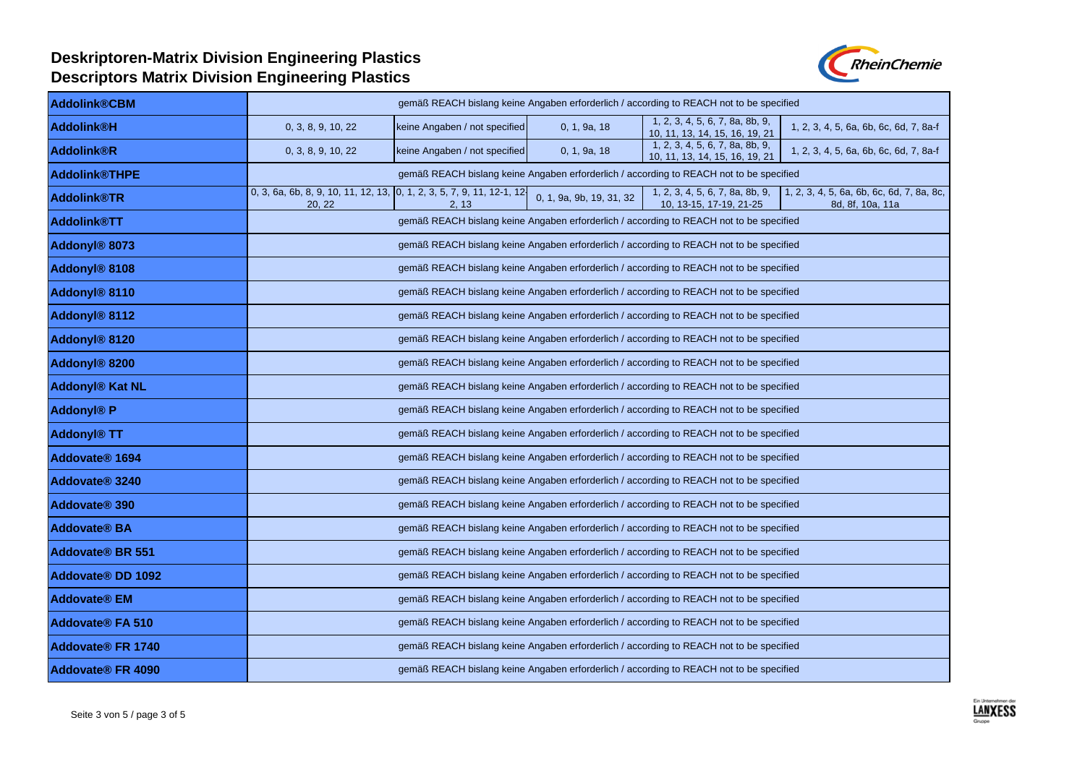

| <b>Addolink®CBM</b>                 | gemäß REACH bislang keine Angaben erforderlich / according to REACH not to be specified                                                                                                                                                              |  |  |  |  |  |  |
|-------------------------------------|------------------------------------------------------------------------------------------------------------------------------------------------------------------------------------------------------------------------------------------------------|--|--|--|--|--|--|
| <b>Addolink®H</b>                   | 1, 2, 3, 4, 5, 6, 7, 8a, 8b, 9,<br>keine Angaben / not specified<br>0, 1, 9a, 18<br>1, 2, 3, 4, 5, 6a, 6b, 6c, 6d, 7, 8a-f<br>0, 3, 8, 9, 10, 22<br>10, 11, 13, 14, 15, 16, 19, 21                                                                   |  |  |  |  |  |  |
| <b>Addolink®R</b>                   | 1, 2, 3, 4, 5, 6, 7, 8a, 8b, 9,<br>0, 3, 8, 9, 10, 22<br>keine Angaben / not specified<br>0, 1, 9a, 18<br>1, 2, 3, 4, 5, 6a, 6b, 6c, 6d, 7, 8a-f<br>10, 11, 13, 14, 15, 16, 19, 21                                                                   |  |  |  |  |  |  |
| <b>Addolink®THPE</b>                | gemäß REACH bislang keine Angaben erforderlich / according to REACH not to be specified                                                                                                                                                              |  |  |  |  |  |  |
| <b>Addolink®TR</b>                  | 0, 3, 6a, 6b, 8, 9, 10, 11, 12, 13, 0, 1, 2, 3, 5, 7, 9, 11, 12-1, 12-<br>1, 2, 3, 4, 5, 6a, 6b, 6c, 6d, 7, 8a, 8c,<br>1, 2, 3, 4, 5, 6, 7, 8a, 8b, 9,<br>0, 1, 9a, 9b, 19, 31, 32<br>10, 13-15, 17-19, 21-25<br>20, 22<br>8d, 8f, 10a, 11a<br>2, 13 |  |  |  |  |  |  |
| <b>Addolink®TT</b>                  | gemäß REACH bislang keine Angaben erforderlich / according to REACH not to be specified                                                                                                                                                              |  |  |  |  |  |  |
| Addonyl <sup>®</sup> 8073           | gemäß REACH bislang keine Angaben erforderlich / according to REACH not to be specified                                                                                                                                                              |  |  |  |  |  |  |
| Addonyl <sup>®</sup> 8108           | gemäß REACH bislang keine Angaben erforderlich / according to REACH not to be specified                                                                                                                                                              |  |  |  |  |  |  |
| Addonyl <sup>®</sup> 8110           | gemäß REACH bislang keine Angaben erforderlich / according to REACH not to be specified                                                                                                                                                              |  |  |  |  |  |  |
| Addonyl <sup>®</sup> 8112           | gemäß REACH bislang keine Angaben erforderlich / according to REACH not to be specified                                                                                                                                                              |  |  |  |  |  |  |
| Addonyl <sup>®</sup> 8120           | gemäß REACH bislang keine Angaben erforderlich / according to REACH not to be specified                                                                                                                                                              |  |  |  |  |  |  |
| Addonyl <sup>®</sup> 8200           | gemäß REACH bislang keine Angaben erforderlich / according to REACH not to be specified                                                                                                                                                              |  |  |  |  |  |  |
| Addonyl® Kat NL                     | gemäß REACH bislang keine Angaben erforderlich / according to REACH not to be specified                                                                                                                                                              |  |  |  |  |  |  |
| <b>Addonyl® P</b>                   | gemäß REACH bislang keine Angaben erforderlich / according to REACH not to be specified                                                                                                                                                              |  |  |  |  |  |  |
| <b>Addonyl® TT</b>                  | gemäß REACH bislang keine Angaben erforderlich / according to REACH not to be specified                                                                                                                                                              |  |  |  |  |  |  |
| Addovate <sup>®</sup> 1694          | gemäß REACH bislang keine Angaben erforderlich / according to REACH not to be specified                                                                                                                                                              |  |  |  |  |  |  |
| Addovate <sup>®</sup> 3240          | gemäß REACH bislang keine Angaben erforderlich / according to REACH not to be specified                                                                                                                                                              |  |  |  |  |  |  |
| Addovate <sup>®</sup> 390           | gemäß REACH bislang keine Angaben erforderlich / according to REACH not to be specified                                                                                                                                                              |  |  |  |  |  |  |
| <b>Addovate® BA</b>                 | gemäß REACH bislang keine Angaben erforderlich / according to REACH not to be specified                                                                                                                                                              |  |  |  |  |  |  |
| <b>Addovate® BR 551</b>             | gemäß REACH bislang keine Angaben erforderlich / according to REACH not to be specified                                                                                                                                                              |  |  |  |  |  |  |
| Addovate <sup>®</sup> DD 1092       | gemäß REACH bislang keine Angaben erforderlich / according to REACH not to be specified                                                                                                                                                              |  |  |  |  |  |  |
| <b>Addovate<sup>®</sup></b> EM      | gemäß REACH bislang keine Angaben erforderlich / according to REACH not to be specified                                                                                                                                                              |  |  |  |  |  |  |
| <b>Addovate® FA 510</b>             | gemäß REACH bislang keine Angaben erforderlich / according to REACH not to be specified                                                                                                                                                              |  |  |  |  |  |  |
| <b>Addovate® FR 1740</b>            | gemäß REACH bislang keine Angaben erforderlich / according to REACH not to be specified                                                                                                                                                              |  |  |  |  |  |  |
| <b>Addovate<sup>®</sup></b> FR 4090 | gemäß REACH bislang keine Angaben erforderlich / according to REACH not to be specified                                                                                                                                                              |  |  |  |  |  |  |

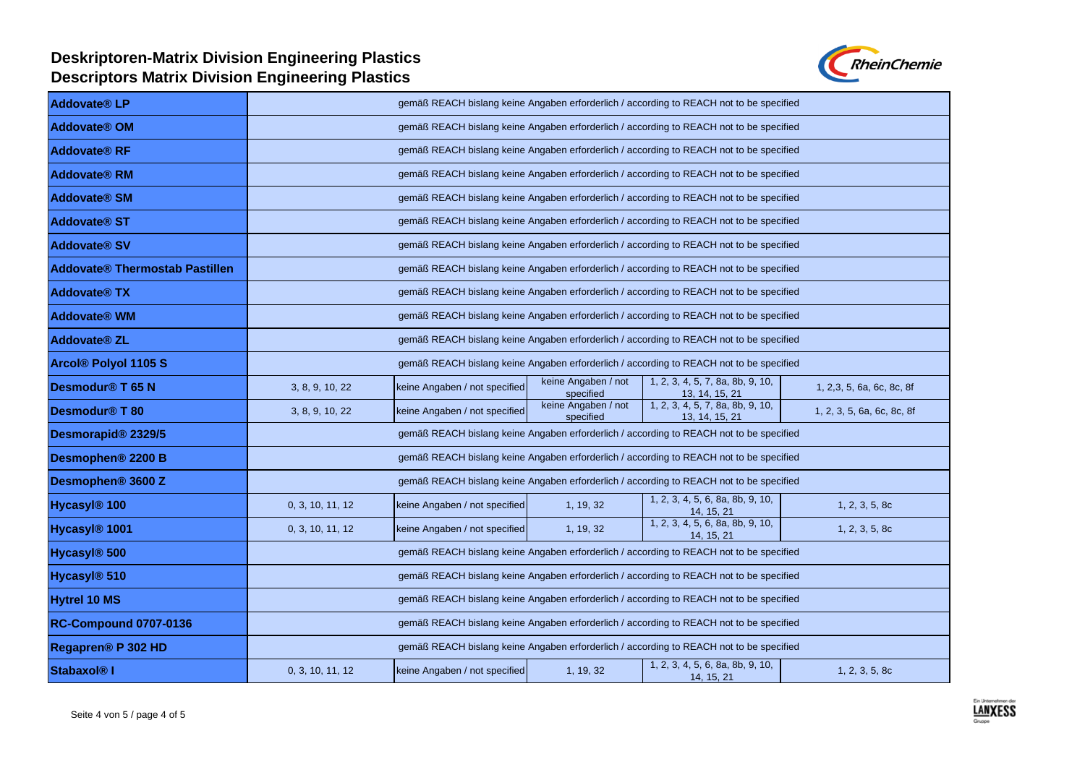

| <b>Addovate<sup>®</sup></b> LP | gemäß REACH bislang keine Angaben erforderlich / according to REACH not to be specified |                                                                                         |                                  |                                                                                         |                            |  |  |
|--------------------------------|-----------------------------------------------------------------------------------------|-----------------------------------------------------------------------------------------|----------------------------------|-----------------------------------------------------------------------------------------|----------------------------|--|--|
| <b>Addovate® OM</b>            | gemäß REACH bislang keine Angaben erforderlich / according to REACH not to be specified |                                                                                         |                                  |                                                                                         |                            |  |  |
| <b>Addovate® RF</b>            | gemäß REACH bislang keine Angaben erforderlich / according to REACH not to be specified |                                                                                         |                                  |                                                                                         |                            |  |  |
| <b>Addovate<sup>®</sup> RM</b> |                                                                                         | gemäß REACH bislang keine Angaben erforderlich / according to REACH not to be specified |                                  |                                                                                         |                            |  |  |
| <b>Addovate® SM</b>            |                                                                                         | gemäß REACH bislang keine Angaben erforderlich / according to REACH not to be specified |                                  |                                                                                         |                            |  |  |
| <b>Addovate<sup>®</sup> ST</b> |                                                                                         |                                                                                         |                                  | gemäß REACH bislang keine Angaben erforderlich / according to REACH not to be specified |                            |  |  |
| <b>Addovate® SV</b>            |                                                                                         |                                                                                         |                                  | gemäß REACH bislang keine Angaben erforderlich / according to REACH not to be specified |                            |  |  |
| Addovate® Thermostab Pastillen |                                                                                         | gemäß REACH bislang keine Angaben erforderlich / according to REACH not to be specified |                                  |                                                                                         |                            |  |  |
| <b>Addovate<sup>®</sup> TX</b> |                                                                                         | gemäß REACH bislang keine Angaben erforderlich / according to REACH not to be specified |                                  |                                                                                         |                            |  |  |
| <b>Addovate<sup>®</sup></b> WM | gemäß REACH bislang keine Angaben erforderlich / according to REACH not to be specified |                                                                                         |                                  |                                                                                         |                            |  |  |
| <b>Addovate® ZL</b>            | gemäß REACH bislang keine Angaben erforderlich / according to REACH not to be specified |                                                                                         |                                  |                                                                                         |                            |  |  |
| <b>Arcol® Polyol 1105 S</b>    | gemäß REACH bislang keine Angaben erforderlich / according to REACH not to be specified |                                                                                         |                                  |                                                                                         |                            |  |  |
| Desmodur <sup>®</sup> T 65 N   | 3, 8, 9, 10, 22                                                                         | keine Angaben / not specified                                                           | keine Angaben / not<br>specified | 1, 2, 3, 4, 5, 7, 8a, 8b, 9, 10,<br>13, 14, 15, 21                                      | 1, 2,3, 5, 6a, 6c, 8c, 8f  |  |  |
| Desmodur <sup>®</sup> T 80     | 3, 8, 9, 10, 22                                                                         | keine Angaben / not specified                                                           | keine Angaben / not<br>specified | 1, 2, 3, 4, 5, 7, 8a, 8b, 9, 10,<br>13, 14, 15, 21                                      | 1, 2, 3, 5, 6a, 6c, 8c, 8f |  |  |
| Desmorapid® 2329/5             | gemäß REACH bislang keine Angaben erforderlich / according to REACH not to be specified |                                                                                         |                                  |                                                                                         |                            |  |  |
| Desmophen <sup>®</sup> 2200 B  | gemäß REACH bislang keine Angaben erforderlich / according to REACH not to be specified |                                                                                         |                                  |                                                                                         |                            |  |  |
| Desmophen <sup>®</sup> 3600 Z  | gemäß REACH bislang keine Angaben erforderlich / according to REACH not to be specified |                                                                                         |                                  |                                                                                         |                            |  |  |
| Hycasyl <sup>®</sup> 100       | 0, 3, 10, 11, 12                                                                        | keine Angaben / not specified                                                           | 1, 19, 32                        | 1, 2, 3, 4, 5, 6, 8a, 8b, 9, 10,<br>14, 15, 21                                          | 1, 2, 3, 5, 8c             |  |  |
| Hycasyl <sup>®</sup> 1001      | 0, 3, 10, 11, 12                                                                        | keine Angaben / not specified                                                           | 1, 19, 32                        | 1, 2, 3, 4, 5, 6, 8a, 8b, 9, 10,<br>14, 15, 21                                          | 1, 2, 3, 5, 8c             |  |  |
| Hycasyl <sup>®</sup> 500       | gemäß REACH bislang keine Angaben erforderlich / according to REACH not to be specified |                                                                                         |                                  |                                                                                         |                            |  |  |
| Hycasyl <sup>®</sup> 510       | gemäß REACH bislang keine Angaben erforderlich / according to REACH not to be specified |                                                                                         |                                  |                                                                                         |                            |  |  |
| <b>Hytrel 10 MS</b>            | gemäß REACH bislang keine Angaben erforderlich / according to REACH not to be specified |                                                                                         |                                  |                                                                                         |                            |  |  |
| <b>RC-Compound 0707-0136</b>   | gemäß REACH bislang keine Angaben erforderlich / according to REACH not to be specified |                                                                                         |                                  |                                                                                         |                            |  |  |
| Regapren <sup>®</sup> P 302 HD | gemäß REACH bislang keine Angaben erforderlich / according to REACH not to be specified |                                                                                         |                                  |                                                                                         |                            |  |  |
| Stabaxol <sup>®</sup> I        | 0, 3, 10, 11, 12                                                                        | keine Angaben / not specified                                                           | 1, 19, 32                        | 1, 2, 3, 4, 5, 6, 8a, 8b, 9, 10,<br>14, 15, 21                                          | 1, 2, 3, 5, 8c             |  |  |